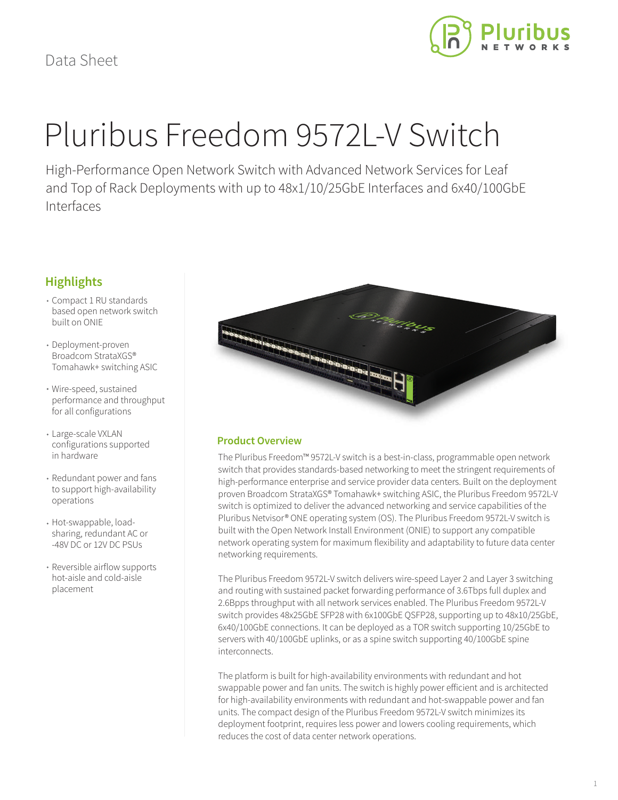

# Pluribus Freedom 9572L-V Switch

High-Performance Open Network Switch with Advanced Network Services for Leaf and Top of Rack Deployments with up to 48x1/10/25GbE Interfaces and 6x40/100GbE Interfaces

# **Highlights**

- Compact 1 RU standards based open network switch built on ONIE
- Deployment-proven Broadcom StrataXGS® Tomahawk+ switching ASIC
- Wire-speed, sustained performance and throughput for all configurations
- Large-scale VXLAN configurations supported in hardware
- Redundant power and fans to support high-availability operations
- Hot-swappable, loadsharing, redundant AC or -48V DC or 12V DC PSUs
- Reversible airflow supports hot-aisle and cold-aisle placement



# **Product Overview**

The Pluribus Freedom™ 9572L-V switch is a best-in-class, programmable open network switch that provides standards-based networking to meet the stringent requirements of high-performance enterprise and service provider data centers. Built on the deployment proven Broadcom StrataXGS® Tomahawk+ switching ASIC, the Pluribus Freedom 9572L-V switch is optimized to deliver the advanced networking and service capabilities of the Pluribus Netvisor® ONE operating system (OS). The Pluribus Freedom 9572L-V switch is built with the Open Network Install Environment (ONIE) to support any compatible network operating system for maximum flexibility and adaptability to future data center networking requirements.

The Pluribus Freedom 9572L-V switch delivers wire-speed Layer 2 and Layer 3 switching and routing with sustained packet forwarding performance of 3.6Tbps full duplex and 2.6Bpps throughput with all network services enabled. The Pluribus Freedom 9572L-V switch provides 48x25GbE SFP28 with 6x100GbE QSFP28, supporting up to 48x10/25GbE, 6x40/100GbE connections. It can be deployed as a TOR switch supporting 10/25GbE to servers with 40/100GbE uplinks, or as a spine switch supporting 40/100GbE spine interconnects.

The platform is built for high-availability environments with redundant and hot swappable power and fan units. The switch is highly power efficient and is architected for high-availability environments with redundant and hot-swappable power and fan units. The compact design of the Pluribus Freedom 9572L-V switch minimizes its deployment footprint, requires less power and lowers cooling requirements, which reduces the cost of data center network operations.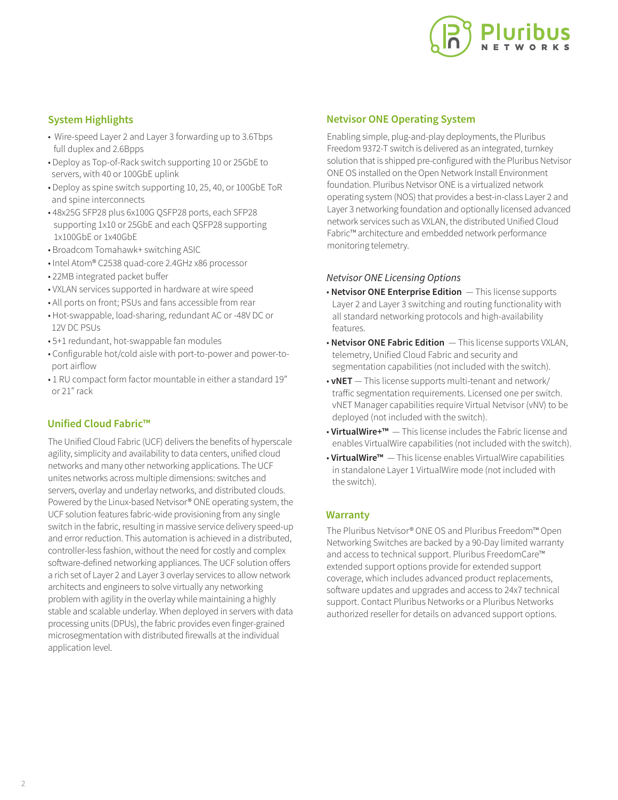

# **System Highlights**

- Wire-speed Layer 2 and Layer 3 forwarding up to 3.6Tbps full duplex and 2.6Bpps
- Deploy as Top-of-Rack switch supporting 10 or 25GbE to servers, with 40 or 100GbE uplink
- Deploy as spine switch supporting 10, 25, 40, or 100GbE ToR and spine interconnects
- 48x25G SFP28 plus 6x100G QSFP28 ports, each SFP28 supporting 1x10 or 25GbE and each QSFP28 supporting 1x100GbE or 1x40GbE
- Broadcom Tomahawk+ switching ASIC
- Intel Atom® C2538 quad-core 2.4GHz x86 processor
- 22MB integrated packet buffer
- VXLAN services supported in hardware at wire speed
- All ports on front; PSUs and fans accessible from rear
- Hot-swappable, load-sharing, redundant AC or -48V DC or 12V DC PSUs
- 5+1 redundant, hot-swappable fan modules
- Configurable hot/cold aisle with port-to-power and power-to port airflow
- 1 RU compact form factor mountable in either a standard 19" or 21" rack

## **Unified Cloud Fabric™**

The Unified Cloud Fabric (UCF) delivers the benefits of hyperscale agility, simplicity and availability to data centers, unified cloud networks and many other networking applications. The UCF unites networks across multiple dimensions: switches and servers, overlay and underlay networks, and distributed clouds. Powered by the Linux-based Netvisor® ONE operating system, the UCF solution features fabric-wide provisioning from any single switch in the fabric, resulting in massive service delivery speed-up and error reduction. This automation is achieved in a distributed, controller-less fashion, without the need for costly and complex software-defined networking appliances. The UCF solution offers a rich set of Layer 2 and Layer 3 overlay services to allow network architects and engineers to solve virtually any networking problem with agility in the overlay while maintaining a highly stable and scalable underlay. When deployed in servers with data processing units (DPUs), the fabric provides even finger-grained microsegmentation with distributed firewalls at the individual application level.

#### **Netvisor ONE Operating System**

Enabling simple, plug-and-play deployments, the Pluribus Freedom 9372-T switch is delivered as an integrated, turnkey solution that is shipped pre-configured with the Pluribus Netvisor ONE OS installed on the Open Network Install Environment foundation. Pluribus Netvisor ONE is a virtualized network operating system (NOS) that provides a best-in-class Layer 2 and Layer 3 networking foundation and optionally licensed advanced network services such as VXLAN, the distributed Unified Cloud Fabric™ architecture and embedded network performance monitoring telemetry.

#### *Netvisor ONE Licensing Options*

- **Netvisor ONE Enterprise Edition**  This license supports Layer 2 and Layer 3 switching and routing functionality with all standard networking protocols and high-availability features.
- **Netvisor ONE Fabric Edition**  This license supports VXLAN, telemetry, Unified Cloud Fabric and security and segmentation capabilities (not included with the switch).
- **vNET**  This license supports multi-tenant and network/ traffic segmentation requirements. Licensed one per switch. vNET Manager capabilities require Virtual Netvisor (vNV) to be deployed (not included with the switch).
- **VirtualWire+™**  This license includes the Fabric license and enables VirtualWire capabilities (not included with the switch).
- **VirtualWire™**  This license enables VirtualWire capabilities in standalone Layer 1 VirtualWire mode (not included with the switch).

## **Warranty**

The Pluribus Netvisor® ONE OS and Pluribus Freedom™ Open Networking Switches are backed by a 90-Day limited warranty and access to technical support. Pluribus FreedomCare™ extended support options provide for extended support coverage, which includes advanced product replacements, software updates and upgrades and access to 24x7 technical support. Contact Pluribus Networks or a Pluribus Networks authorized reseller for details on advanced support options.